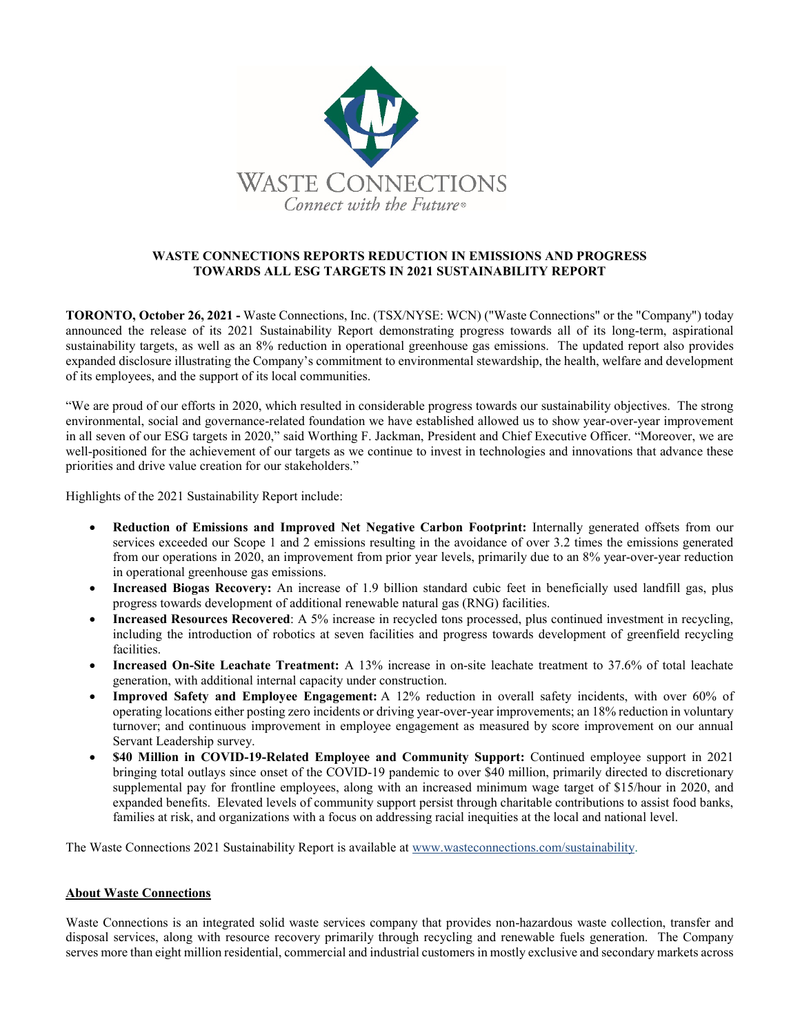

## **WASTE CONNECTIONS REPORTS REDUCTION IN EMISSIONS AND PROGRESS TOWARDS ALL ESG TARGETS IN 2021 SUSTAINABILITY REPORT**

**TORONTO, October 26, 2021 -** Waste Connections, Inc. (TSX/NYSE: WCN) ("Waste Connections" or the "Company") today announced the release of its 2021 Sustainability Report demonstrating progress towards all of its long-term, aspirational sustainability targets, as well as an 8% reduction in operational greenhouse gas emissions. The updated report also provides expanded disclosure illustrating the Company's commitment to environmental stewardship, the health, welfare and development of its employees, and the support of its local communities.

"We are proud of our efforts in 2020, which resulted in considerable progress towards our sustainability objectives. The strong environmental, social and governance-related foundation we have established allowed us to show year-over-year improvement in all seven of our ESG targets in 2020," said Worthing F. Jackman, President and Chief Executive Officer. "Moreover, we are well-positioned for the achievement of our targets as we continue to invest in technologies and innovations that advance these priorities and drive value creation for our stakeholders."

Highlights of the 2021 Sustainability Report include:

- **Reduction of Emissions and Improved Net Negative Carbon Footprint:** Internally generated offsets from our services exceeded our Scope 1 and 2 emissions resulting in the avoidance of over 3.2 times the emissions generated from our operations in 2020, an improvement from prior year levels, primarily due to an 8% year-over-year reduction in operational greenhouse gas emissions.
- **Increased Biogas Recovery:** An increase of 1.9 billion standard cubic feet in beneficially used landfill gas, plus progress towards development of additional renewable natural gas (RNG) facilities.
- **Increased Resources Recovered**: A 5% increase in recycled tons processed, plus continued investment in recycling, including the introduction of robotics at seven facilities and progress towards development of greenfield recycling facilities.
- **Increased On-Site Leachate Treatment:** A 13% increase in on-site leachate treatment to 37.6% of total leachate generation, with additional internal capacity under construction.
- **Improved Safety and Employee Engagement:** A 12% reduction in overall safety incidents, with over 60% of operating locations either posting zero incidents or driving year-over-year improvements; an 18% reduction in voluntary turnover; and continuous improvement in employee engagement as measured by score improvement on our annual Servant Leadership survey.
- **\$40 Million in COVID-19-Related Employee and Community Support:** Continued employee support in 2021 bringing total outlays since onset of the COVID-19 pandemic to over \$40 million, primarily directed to discretionary supplemental pay for frontline employees, along with an increased minimum wage target of \$15/hour in 2020, and expanded benefits. Elevated levels of community support persist through charitable contributions to assist food banks, families at risk, and organizations with a focus on addressing racial inequities at the local and national level.

The Waste Connections 2021 Sustainability Report is available at [www.wasteconnections.com/sustainability.](https://www.wasteconnections.com/sustainability/)

## **About Waste Connections**

Waste Connections is an integrated solid waste services company that provides non-hazardous waste collection, transfer and disposal services, along with resource recovery primarily through recycling and renewable fuels generation. The Company serves more than eight million residential, commercial and industrial customers in mostly exclusive and secondary markets across